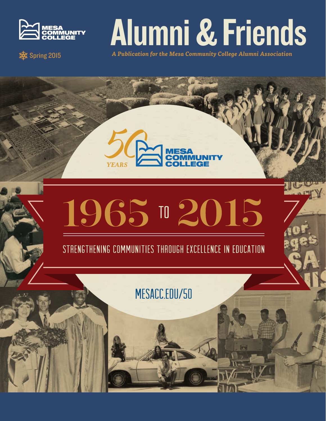

# Alumni & Friends

 **A Publication for the Mesa Community College Alumni Association** 





STRENGTHENING COMMUNITIES THROUGH EXCELLENCE IN EDUCATION

MESACC.EDU/50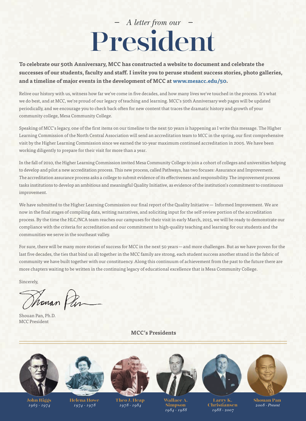## *A letter from our*  President

**To celebrate our 50th Anniversary, MCC has constructed a website to document and celebrate the successes of our students, faculty and staff. I invite you to peruse student success stories, photo galleries, and a timeline of major events in the development of MCC at www.mesacc.edu/50.**

Relive our history with us, witness how far we've come in five decades, and how many lives we've touched in the process. It's what we do best, and at MCC, we're proud of our legacy of teaching and learning. MCC's 50th Anniversary web pages will be updated periodically, and we encourage you to check back often for new content that traces the dramatic history and growth of your community college, Mesa Community College.

Speaking of MCC's legacy, one of the first items on our timeline to the next 50 years is happening as I write this message. The Higher Learning Commission of the North Central Association will send an accreditation team to MCC in the spring, our first comprehensive visit by the Higher Learning Commission since we earned the 10-year maximum continued accreditation in 2005. We have been working diligently to prepare for their visit for more than a year.

In the fall of 2010, the Higher Learning Commission invited Mesa Community College to join a cohort of colleges and universities helping to develop and pilot a new accreditation process. This new process, called Pathways, has two focuses: Assurance and Improvement. The accreditation assurance process asks a college to submit evidence of its effectiveness and responsibility. The improvement process tasks institutions to develop an ambitious and meaningful Quality Initiative, as evidence of the institution's commitment to continuous improvement.

We have submitted to the Higher Learning Commission our final report of the Quality Initiative — Informed Improvement. We are now in the final stages of compiling data, writing narratives, and soliciting input for the self-review portion of the accreditation process. By the time the HLC/NCA team reaches our campuses for their visit in early March, 2015, we will be ready to demonstrate our compliance with the criteria for accreditation and our commitment to high-quality teaching and learning for our students and the communities we serve in the southeast valley.

For sure, there will be many more stories of success for MCC in the next 50 years—and more challenges. But as we have proven for the last five decades, the ties that bind us all together in the MCC family are strong, each student success another strand in the fabric of community we have built together with our constituency. Along this continuum of achievement from the past to the future there are more chapters waiting to be written in the continuing legacy of educational excellence that is Mesa Community College.

Sincerely,

Thoman Pin

Shouan Pan, Ph.D. MCC President

 **MCC's Presidents**



**John Riggs** *1963 - 1974*

**Helena Howe** *1974 - 1978*

**Theo J. Heap** *1978 - 1984*

**Wallace A. Simpson** *1984 - 1988*

**Larry K. Christiansen** *1988 - 2007*

**Shouan Pan** *2008 - Present*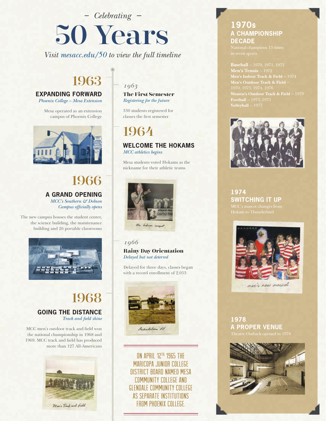*Celebrating*

## 50 Years

*Visit mesacc.edu/50 to view the full timeline*

## 1963

**EXPANDING FORWARD**

*Phoenix College – Mesa Extension*

Mesa operated as an extension campus of Phoenix College



#### 1966 **A GRAND OPENING** *MCC's Southern & Dobson Campus officially opens*

The new campus houses the student center, the science building, the maintenance building and 26 portable classrooms



#### 1968 **GOING THE DISTANCE** *Track and field shine*

MCC men's outdoor track and field won the national championship in 1968 and 1969. MCC track and field has produced more than 127 All-Americans



#### *1963*

**The First Semester** *Registering for the future*

330 students registered for classes the first semester

## 1964

**WELCOME THE HOKAMS** *MCC athletics begins*

Mesa students voted Hokams as the nickname for their athletic teams



#### *1966*

**Rainy Day Orientation** *Delayed but not deterred*

Delayed for three days, classes began with a record enrollment of 2,053



ON APRIL 12TH, 1965 THE MARICOPA JUNIOR COLLEGE DISTRICT BOARD NAMED MESA COMMUNITY COLLEGE AND GLENDALE COMMUNITY COLLEGE AS SEPARATE INSTITUTIONS FROM PHOENIX COLLEGE.

#### **1970s A CHAMPIONSHIP DECADE**



**1974 SWITCHING IT UP**



mee's new mascot

**1978 A PROPER VENUE**

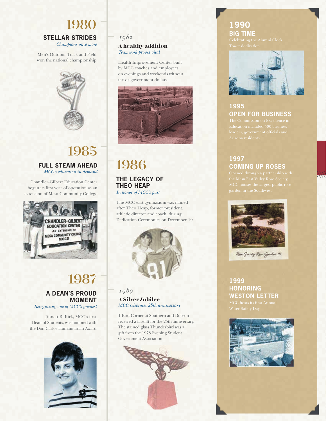#### 1980 **STELLAR STRIDES** *Champions once more*

Men's Outdoor Track and Field won the national championship



## 1985 **FULL STEAM AHEAD**

*MCC's education in demand*

Chandler-Gilbert Education Center began its first year of operation as an extension of Mesa Community College



#### 1987 **A DEAN'S PROUD MOMENT**

*Recognizing one of MCC's greatest*

Jinnett B. Kirk, MCC's first Dean of Students, was honored with the Don Carlos Humanitarian Award



#### *1982*

#### **A healthy addition** *Teamwork proves vital*

Health Improvement Center built by MCC coaches and employees on evenings and weekends without tax or government dollars



## 1986

#### **THE LEGACY OF THEO HEAP**

*In honor of MCC's past*

The MCC east gymnasium was named after Theo Heap, former president, athletic director and coach, during Dedication Ceremonies on December 19



#### *1989* **A Silver Jubilee** *MCC celebrates 25th anniversary*

T-Bird Corner at Southern and Dobson received a facelift for the 25th anniversary. The stained glass Thunderbird was a gift from the 1978 Evening Student Government Association



#### **1990 BIG TIME**



#### **1995 OPEN FOR BUSINESS**

#### **1997 COMING UP ROSES**

1111



Rose Society Rose Garden 97

#### **1999 HONORING WESTON LETTER**

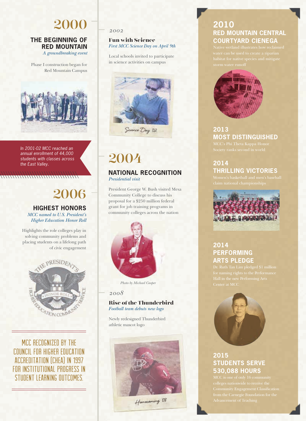## 2000

#### **THE BEGINNING OF RED MOUNTAIN** *A groundbreaking event*

Phase I construction began for Red Mountain Campus



*In 2001-02 MCC reached an annual enrollment of 44,000 students with classes across the East Valley.*

#### 2006 **HIGHEST HONORS** *MCC named to U.S. President's Higher Education Honor Roll*

Highlights the role colleges play in solving community problems and placing students on a lifelong path of civic engagement



MCC RECOGNIZED BY THE COUNCIL FOR HIGHER EDUCATION ACCREDITATION (CHEA) IN 1997 FOR INSTITUTIONAL PROGRESS IN STUDENT LEARNING OUTCOMES.

*2002*

#### **Fun with Science** *First MCC Science Day on April 9th*

Local schools invited to participate in science activities on campus



## 2004

#### **NATIONAL RECOGNITION** *Presidential visit*

President George W. Bush visited Mesa Community College to discuss his proposal for a \$250 million federal grant for job training programs in community colleges across the nation



**Photo by Michael Cooper Photo by Michael Cooper** 

#### *2008*

#### **Rise of the Thunderbird** *Football team debuts new logo*

Newly redesigned Thunderbird athletic mascot logo



Hamacaming 08

#### **2010 RED MOUNTAIN CENTRAL COURTYARD CIENEGA**



### **2013 MOST DISTINGUISHED**

#### **2014 THRILLING VICTORIES**



#### **2014 PERFORMING ARTS PLEDGE**



#### **2015 STUDENTS SERVE 530,088 HOURS**